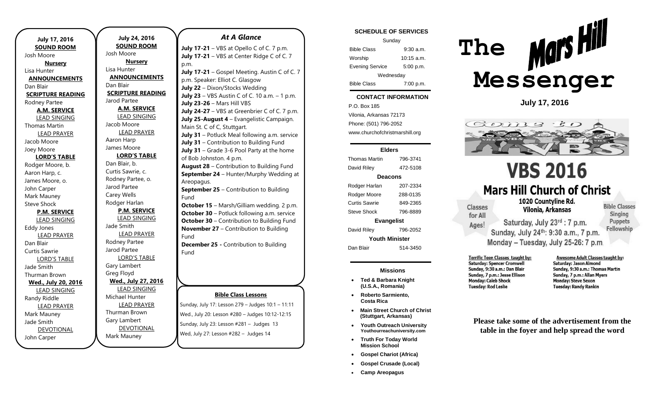| <b>July 17, 2016</b>     |  |  |
|--------------------------|--|--|
| <b>SOUND ROOM</b>        |  |  |
| Josh Moore               |  |  |
| <b>Nursery</b>           |  |  |
| Lisa Hunter              |  |  |
| <b>ANNOUNCEMENTS</b>     |  |  |
| Dan Blair                |  |  |
| <b>SCRIPTURE READING</b> |  |  |
| Rodney Partee            |  |  |
| <b>A.M. SERVICE</b>      |  |  |
| <b>LEAD SINGING</b>      |  |  |
| <b>Thomas Martin</b>     |  |  |
| <b>LEAD PRAYER</b>       |  |  |
| Jacob Moore              |  |  |
| Joey Moore               |  |  |
| <b>LORD'S TABLE</b>      |  |  |
| Rodger Moore, b.         |  |  |
| Aaron Harp, c.           |  |  |
| James Moore, o.          |  |  |
| John Carper              |  |  |
| Mark Mauney              |  |  |
| <b>Steve Shock</b>       |  |  |
| <b>P.M. SERVICE</b>      |  |  |
| <b>LEAD SINGING</b>      |  |  |
| Eddy Jones               |  |  |
| <b>LEAD PRAYER</b>       |  |  |
| Dan Blair                |  |  |
| <b>Curtis Sawrie</b>     |  |  |
| <b>LORD'S TABLE</b>      |  |  |
| Jade Smith               |  |  |
| Thurman Brown            |  |  |
| Wed., July 20, 2016      |  |  |
| <b>LEAD SINGING</b>      |  |  |
| Randy Riddle             |  |  |
| <b>LEAD PRAYER</b>       |  |  |
| Mark Mauney              |  |  |
| Jade Smith               |  |  |
| <b>DEVOTIONAL</b>        |  |  |
| John Carper              |  |  |

**July 24, 2016 SOUND ROOM** Josh Moore **Nursery** Lisa Hunter **ANNOUNCEMENTS** Dan Blair **SCRIPTURE READING** Jarod Partee **A.M. SERVICE** LEAD SINGING Jacob Moore LEAD PRAYER Aaron Harp James Moore **LORD'S TABLE** Dan Blair, b. Curtis Sawrie, c. Rodney Partee, o. Jarod Partee Carey Wells Rodger Harlan **P.M. SERVICE** LEAD SINGING Jade Smith LEAD PRAYER Rodney Partee Jarod Partee LORD'S TABLE Gary Lambert Greg Floyd **Wed., July 27, 2016** LEAD SINGING Michael Hunter LEAD PRAYER Thurman Brown Gary Lambert **DEVOTIONAL** Mark Mauney

## *At A Glance*

**July 17-21** – VBS at Opello C of C. 7 p.m. **July 17-21** – VBS at Center Ridge C of C. 7 p.m. **July 17-21** – Gospel Meeting. Austin C of C. 7 p.m. Speaker: Elliot C. Glasgow

**July 22** – Dixon/Stocks Wedding **July 23** – VBS Austin C of C. 10 a.m. – 1 p.m. **July 23-26** – Mars Hill VBS **July 24-27** – VBS at Greenbrier C of C. 7 p.m. **July 25-August 4** – Evangelistic Campaign. Main St. C of C, Stuttgart. **July 31** – Potluck Meal following a.m. service **July 31** – Contribution to Building Fund **July 31** – Grade 3-6 Pool Party at the home of Bob Johnston. 4 p.m. **August 28** – Contribution to Building Fund

**September 24** – Hunter/Murphy Wedding at Areopagus.

**September 25** – Contribution to Building Fund

**October 15** – Marsh/Gilliam wedding. 2 p.m. **October 30** – Potluck following a.m. service **October 30** – Contribution to Building Fund **November 27** – Contribution to Building Fund

**December 25 -** Contribution to Building Fund

### **Bible Class Lessons**

Sunday, July 17: Lesson 279 – Judges 10:1 – 11:11 Wed., July 20: Lesson #280 – Judges 10:12-12:15 Sunday, July 23: Lesson #281 – Judges 13 Wed, July 27: Lesson #282 – Judges 14

### **SCHEDULE OF SERVICES**

| Sunday                 |              |  |
|------------------------|--------------|--|
| <b>Bible Class</b>     | $9:30$ a.m.  |  |
| Worship                | $10:15$ a.m. |  |
| <b>Evening Service</b> | 5:00 p.m.    |  |
| Wednesday              |              |  |
| <b>Bible Class</b>     | 7:00 p.m.    |  |

#### tuesday. **CONTACT INFORMATION**

. .o. Box 100<br>Vilonia, Arkansas 72173 P.O. Box 185 Phone: (501) 796-2052 www.churchofchristmarshill.org

### **Elders**

Thomas Martin 796-3741 David Riley 472-5108 **Deacons** Rodger Harlan 207-2334 Rodger Moore 288-0135 Curtis Sawrie 849-2365 Steve Shock 796-8889 **Evangelist** David Riley 796-2052 **Youth Minister**

Dan Blair 514-3450

### **Missions**

- **Ted & Barbara Knight (U.S.A., Romania)**
- **Roberto Sarmiento, Costa Rica**
- **Main Street Church of Christ (Stuttgart, Arkansas)**
- **Youth Outreach University Youthourreachuniversity.com**
- **Truth For Today World Mission School**
- **Gospel Chariot (Africa)**
- **Gospel Crusade (Local)**
- **Camp Areopagus**



**July 17, 2016**



# **VBS 2016 Mars Hill Church of Christ**

Saturday, July 23rd : 7 p.m.

Sunday, July 24th: 9:30 a.m., 7 p.m. Monday - Tuesday, July 25-26: 7 p.m.

1020 Countvline Rd. Vilonia, Arkansas

**Bible Classes** Singing **Puppets** Fellowship

Terrific Teen Classes taught by: **Saturday: Spencer Cromwell** Sunday, 9:30 a.m.: Dan Blair Sunday, 7 p.m.: Jesse Ellison **Monday: Caleb Shock** 

**Classes** 

for All

Ages!

**Tuesday: Rod Leslie** 

Awesome Adult Classes taught by: Saturday: Jason Almond Sunday, 9:30 a.m.: Thomas Martin Sunday, 7 p.m.: Allan Myers **Monday: Steve Sexon Tuesday: Randy Rankin** 

**Please take some of the advertisement from the table in the foyer and help spread the word**